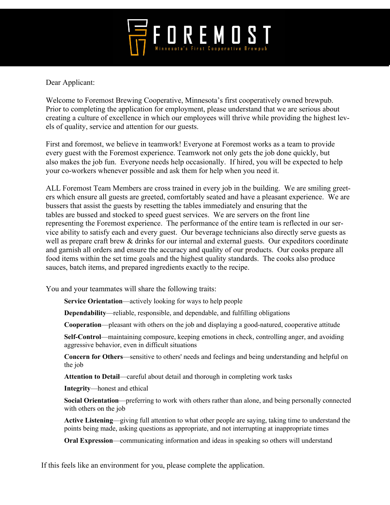

Dear Applicant:

Welcome to Foremost Brewing Cooperative, Minnesota's first cooperatively owned brewpub. Prior to completing the application for employment, please understand that we are serious about creating a culture of excellence in which our employees will thrive while providing the highest levels of quality, service and attention for our guests.

First and foremost, we believe in teamwork! Everyone at Foremost works as a team to provide every guest with the Foremost experience. Teamwork not only gets the job done quickly, but also makes the job fun. Everyone needs help occasionally. If hired, you will be expected to help your co-workers whenever possible and ask them for help when you need it.

ALL Foremost Team Members are cross trained in every job in the building. We are smiling greeters which ensure all guests are greeted, comfortably seated and have a pleasant experience. We are bussers that assist the guests by resetting the tables immediately and ensuring that the tables are bussed and stocked to speed guest services. We are servers on the front line representing the Foremost experience. The performance of the entire team is reflected in our service ability to satisfy each and every guest. Our beverage technicians also directly serve guests as well as prepare craft brew & drinks for our internal and external guests. Our expeditors coordinate and garnish all orders and ensure the accuracy and quality of our products. Our cooks prepare all food items within the set time goals and the highest quality standards. The cooks also produce sauces, batch items, and prepared ingredients exactly to the recipe.

You and your teammates will share the following traits:

**Service Orientation**—actively looking for ways to help people

**Dependability**—reliable, responsible, and dependable, and fulfilling obligations

**Cooperation**—pleasant with others on the job and displaying a good-natured, cooperative attitude

**Self-Control**—maintaining composure, keeping emotions in check, controlling anger, and avoiding aggressive behavior, even in difficult situations

**Concern for Others**—sensitive to others' needs and feelings and being understanding and helpful on the job

**Attention to Detail**—careful about detail and thorough in completing work tasks

**Integrity**—honest and ethical

**Social Orientation**—preferring to work with others rather than alone, and being personally connected with others on the job

**Active Listening**—giving full attention to what other people are saying, taking time to understand the points being made, asking questions as appropriate, and not interrupting at inappropriate times

**Oral Expression**—communicating information and ideas in speaking so others will understand

If this feels like an environment for you, please complete the application.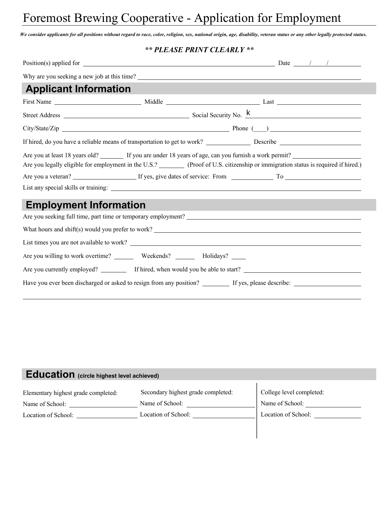# Foremost Brewing Cooperative - Application for Employment

*We consider applicants for all positions without regard to race, color, religion, sex, national origin, age, disability, veteran status or any other legally protected status.*

#### *\*\* PLEASE PRINT CLEARLY \*\**

| <b>Applicant Information</b>                                                                                                                                                                                                    |                               |  |  |  |  |
|---------------------------------------------------------------------------------------------------------------------------------------------------------------------------------------------------------------------------------|-------------------------------|--|--|--|--|
|                                                                                                                                                                                                                                 |                               |  |  |  |  |
|                                                                                                                                                                                                                                 |                               |  |  |  |  |
|                                                                                                                                                                                                                                 | $City/State/Zip$ Phone $(\_)$ |  |  |  |  |
|                                                                                                                                                                                                                                 |                               |  |  |  |  |
| Are you at least 18 years old? If you are under 18 years of age, can you furnish a work permit?<br>Are you legally eligible for employment in the U.S.? (Proof of U.S. citizenship or immigration status is required if hired.) |                               |  |  |  |  |
|                                                                                                                                                                                                                                 |                               |  |  |  |  |
|                                                                                                                                                                                                                                 |                               |  |  |  |  |
| <b>Employment Information</b>                                                                                                                                                                                                   |                               |  |  |  |  |
|                                                                                                                                                                                                                                 |                               |  |  |  |  |
|                                                                                                                                                                                                                                 |                               |  |  |  |  |
|                                                                                                                                                                                                                                 |                               |  |  |  |  |
| Are you willing to work overtime? _________ Weekends? ________ Holidays? ______                                                                                                                                                 |                               |  |  |  |  |
|                                                                                                                                                                                                                                 |                               |  |  |  |  |
|                                                                                                                                                                                                                                 |                               |  |  |  |  |

### **Education (circle highest level achieved)**

| Elementary highest grade completed: | Secondary highest grade completed: | College level completed: |
|-------------------------------------|------------------------------------|--------------------------|
| Name of School:                     | Name of School:                    | Name of School:          |
| Location of School:                 | Location of School:                | Location of School:      |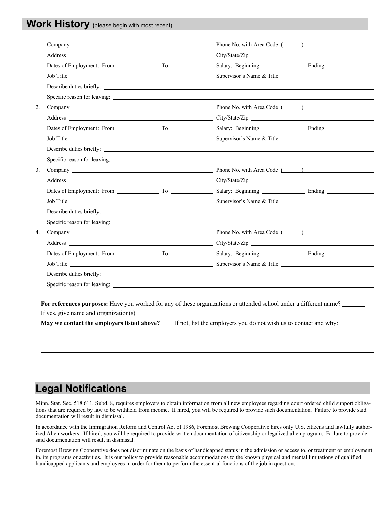### **Work History (**please begin with most recent)

| 1. |  |                          |
|----|--|--------------------------|
|    |  |                          |
|    |  |                          |
|    |  |                          |
|    |  |                          |
|    |  |                          |
| 2. |  |                          |
|    |  |                          |
|    |  |                          |
|    |  |                          |
|    |  | Describe duties briefly: |
|    |  |                          |
| 3. |  |                          |
|    |  |                          |
|    |  |                          |
|    |  |                          |
|    |  |                          |
|    |  |                          |
| 4. |  |                          |
|    |  |                          |
|    |  |                          |
|    |  |                          |
|    |  |                          |
|    |  |                          |
|    |  |                          |

For references purposes: Have you worked for any of these organizations or attended school under a different name?

If yes, give name and organization(s)

**May we contact the employers listed above?** If not, list the employers you do not wish us to contact and why:

## **Legal Notifications**

Minn. Stat. Sec. 518.611, Subd. 8, requires employers to obtain information from all new employees regarding court ordered child support obligations that are required by law to be withheld from income. If hired, you will be required to provide such documentation. Failure to provide said documentation will result in dismissal.

In accordance with the Immigration Reform and Control Act of 1986, Foremost Brewing Cooperative hires only U.S. citizens and lawfully authorized Alien workers. If hired, you will be required to provide written documentation of citizenship or legalized alien program. Failure to provide said documentation will result in dismissal.

Foremost Brewing Cooperative does not discriminate on the basis of handicapped status in the admission or access to, or treatment or employment in, its programs or activities. It is our policy to provide reasonable accommodations to the known physical and mental limitations of qualified handicapped applicants and employees in order for them to perform the essential functions of the job in question.